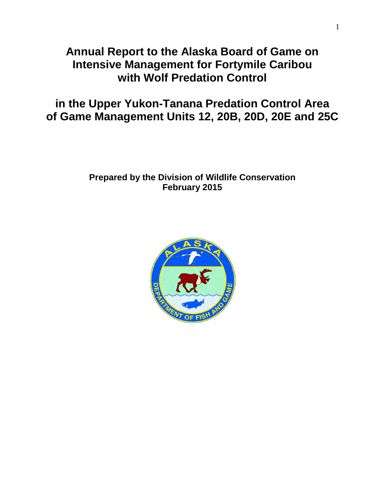# **Annual Report to the Alaska Board of Game on Intensive Management for Fortymile Caribou with Wolf Predation Control**

# **in the Upper Yukon-Tanana Predation Control Area of Game Management Units 12, 20B, 20D, 20E and 25C**

## **Prepared by the Division of Wildlife Conservation February 2015**

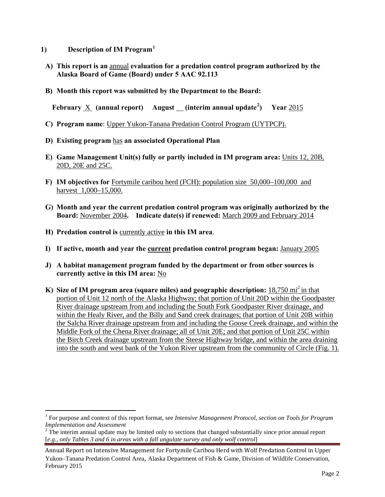- **1) Description of IM Program[1](#page-1-0)**
- **A) This report is an** annual **evaluation for a predation control program authorized by the Alaska Board of Game (Board) under 5 AAC 92.113**
- **B) Month this report was submitted by the Department to the Board:**

**February** X **(annual report) August (interim annual update[2](#page-1-1) ) Year** 2015

- **C) Program name**: Upper Yukon-Tanana Predation Control Program (UYTPCP).
- **D) Existing program** has **an associated Operational Plan**
- **E) Game Management Unit(s) fully or partly included in IM program area:** Units 12, 20B, 20D, 20E and 25C.
- **F) IM objectives for** Fortymile caribou herd (FCH): population size 50,000–100,000 and harvest 1,000–15,000.
- **G) Month and year the current predation control program was originally authorized by the Board:** November 2004**. Indicate date(s) if renewed:** March 2009 and February 2014
- **H) Predation control is** currently active **in this IM area**.

 $\overline{a}$ 

- **I) If active, month and year the current predation control program began:** January 2005
- **J) A habitat management program funded by the department or from other sources is currently active in this IM area:** No
- **K)** Size of IM program area (square miles) and geographic description: 18,750 mi<sup>2</sup> in that portion of Unit 12 north of the Alaska Highway; that portion of Unit 20D within the Goodpaster River drainage upstream from and including the South Fork Goodpaster River drainage, and within the Healy River, and the Billy and Sand creek drainages; that portion of Unit 20B within the Salcha River drainage upstream from and including the Goose Creek drainage, and within the Middle Fork of the Chena River drainage; all of Unit 20E; and that portion of Unit 25C within the Birch Creek drainage upstream from the Steese Highway bridge, and within the area draining into the south and west bank of the Yukon River upstream from the community of Circle (Fig. 1).

<span id="page-1-0"></span><sup>&</sup>lt;sup>1</sup> For purpose and context of this report format, see *Intensive Management Protocol, section on Tools for Program Implementation and Assessment* 

<span id="page-1-1"></span><sup>&</sup>lt;sup>2</sup> The interim annual update may be limited only to sections that changed substantially since prior annual report [*e.g., only Tables 3 and 6 in areas with a fall ungulate survey and only wolf control*]

Annual Report on Intensive Management for Fortymile Caribou Herd with Wolf Predation Control in Upper Yukon–Tanana Predation Control Area, Alaska Department of Fish & Game, Division of Wildlife Conservation, February 2015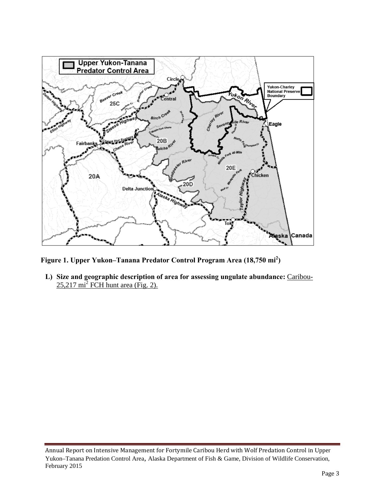

**Figure 1. Upper Yukon–Tanana Predator Control Program Area (18,750 mi<sup>2</sup> )** 

**L) Size and geographic description of area for assessing ungulate abundance:** Caribou- $25,217 \text{ mi}^2$  FCH hunt area (Fig. 2).

Annual Report on Intensive Management for Fortymile Caribou Herd with Wolf Predation Control in Upper Yukon–Tanana Predation Control Area, Alaska Department of Fish & Game, Division of Wildlife Conservation, February 2015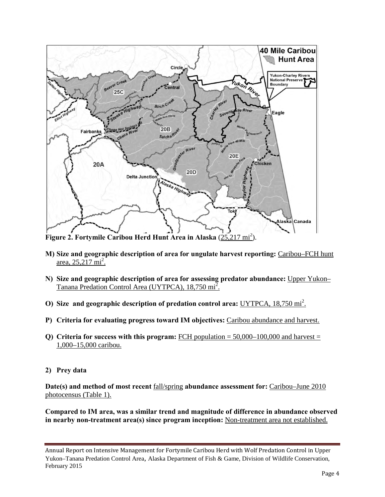

Figure 2. Fortymile Caribou Herd Hunt Area in Alaska (25,217 mi<sup>2</sup>).

- **M) Size and geographic description of area for ungulate harvest reporting:** Caribou–FCH hunt  $\frac{\text{area}, 25, 217 \text{ mi}^2}{\text{cm}^2}$
- **N) Size and geographic description of area for assessing predator abundance:** Upper Yukon– Tanana Predation Control Area (UYTPCA), 18,750 mi<sup>2</sup>.
- O) Size and geographic description of predation control area: UYTPCA, 18,750 mi<sup>2</sup>.
- **P) Criteria for evaluating progress toward IM objectives:** Caribou abundance and harvest.
- **Q)** Criteria for success with this program: FCH population  $= 50,000-100,000$  and harvest  $=$ 1,000–15,000 caribou.
- **2) Prey data**

**Date(s) and method of most recent** fall/spring **abundance assessment for:** Caribou–June 2010 photocensus (Table 1).

**Compared to IM area, was a similar trend and magnitude of difference in abundance observed in nearby non-treatment area(s) since program inception:** Non-treatment area not established.

Annual Report on Intensive Management for Fortymile Caribou Herd with Wolf Predation Control in Upper Yukon–Tanana Predation Control Area, Alaska Department of Fish & Game, Division of Wildlife Conservation, February 2015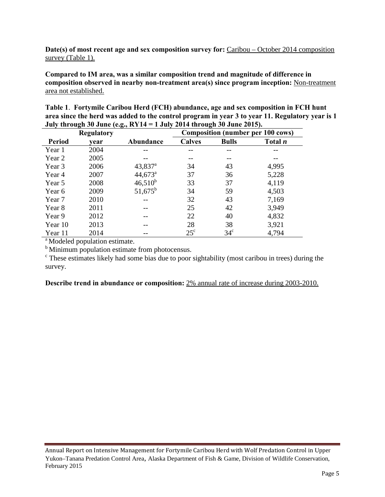**Date(s) of most recent age and sex composition survey for:** Caribou – October 2014 composition survey (Table 1).

**Compared to IM area, was a similar composition trend and magnitude of difference in composition observed in nearby non-treatment area(s) since program inception:** Non-treatment area not established.

|                   | Table 1. Fortymile Caribou Herd (FCH) abundance, age and sex composition in FCH hunt            |
|-------------------|-------------------------------------------------------------------------------------------------|
|                   | area since the herd was added to the control program in year 3 to year 11. Regulatory year is 1 |
|                   | July through 30 June (e.g., $RY14 = 1$ July 2014 through 30 June 2015).                         |
| <b>Regulatory</b> | Composition (number per 100 cows)                                                               |

|               | <b>Regulatory</b> |                       | <b>Composition (number per 100 cows)</b> |              |                |  |  |
|---------------|-------------------|-----------------------|------------------------------------------|--------------|----------------|--|--|
| <b>Period</b> | vear              | <b>Abundance</b>      | <b>Calves</b>                            | <b>Bulls</b> | Total <i>n</i> |  |  |
| Year 1        | 2004              |                       |                                          |              |                |  |  |
| Year 2        | 2005              |                       |                                          |              |                |  |  |
| Year 3        | 2006              | $43,837$ <sup>a</sup> | 34                                       | 43           | 4,995          |  |  |
| Year 4        | 2007              | $44,673^{\circ}$      | 37                                       | 36           | 5,228          |  |  |
| Year 5        | 2008              | $46,510^{b}$          | 33                                       | 37           | 4,119          |  |  |
| Year 6        | 2009              | $51,675^{\rm b}$      | 34                                       | 59           | 4,503          |  |  |
| Year 7        | 2010              |                       | 32                                       | 43           | 7,169          |  |  |
| Year 8        | 2011              |                       | 25                                       | 42           | 3,949          |  |  |
| Year 9        | 2012              |                       | 22                                       | 40           | 4,832          |  |  |
| Year 10       | 2013              |                       | 28                                       | 38           | 3,921          |  |  |
| Year 11       | 2014              |                       | $25^{\circ}$                             | $34^{\circ}$ | 4,794          |  |  |

<sup>a</sup> Modeled population estimate.

<sup>b</sup> Minimum population estimate from photocensus.

 $\epsilon$ . These estimates likely had some bias due to poor sightability (most caribou in trees) during the survey.

**Describe trend in abundance or composition:** 2% annual rate of increase during 2003-2010.

Annual Report on Intensive Management for Fortymile Caribou Herd with Wolf Predation Control in Upper Yukon–Tanana Predation Control Area, Alaska Department of Fish & Game, Division of Wildlife Conservation, February 2015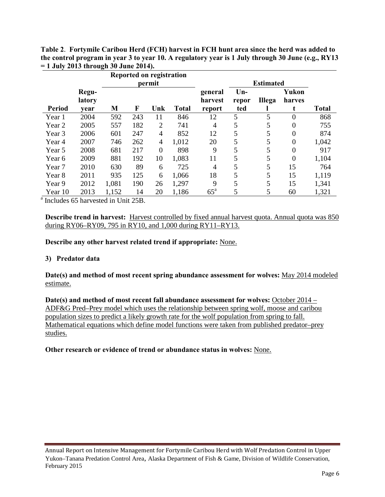**Table 2**. **Fortymile Caribou Herd (FCH) harvest in FCH hunt area since the herd was added to the control program in year 3 to year 10. A regulatory year is 1 July through 30 June (e.g., RY13 = 1 July 2013 through 30 June 2014).** 

|                   |                 |       |     | Reported on registration |              |                    |                  |               |                  |              |
|-------------------|-----------------|-------|-----|--------------------------|--------------|--------------------|------------------|---------------|------------------|--------------|
|                   |                 |       |     | permit                   |              |                    | <b>Estimated</b> |               |                  |              |
|                   | Regu-<br>latory |       |     |                          |              | general<br>harvest | $Un-$<br>repor   | <b>Illega</b> | Yukon<br>harves  |              |
| Period            | vear            | M     | F   | Unk                      | <b>Total</b> | report             | ted              |               |                  | <b>Total</b> |
| Year 1            | 2004            | 592   | 243 | 11                       | 846          | 12                 | 5                | 5             | $\overline{0}$   | 868          |
| Year 2            | 2005            | 557   | 182 | 2                        | 741          | 4                  | 5                | 5             | $\boldsymbol{0}$ | 755          |
| Year 3            | 2006            | 601   | 247 | 4                        | 852          | 12                 | 5                | 5             | $\overline{0}$   | 874          |
| Year 4            | 2007            | 746   | 262 | 4                        | 1,012        | 20                 | 5                | 5             | $\boldsymbol{0}$ | 1,042        |
| Year 5            | 2008            | 681   | 217 | $\overline{0}$           | 898          | 9                  | 5                | 5             | $\overline{0}$   | 917          |
| Year 6            | 2009            | 881   | 192 | 10                       | 1,083        | 11                 | 5                | 5             | $\boldsymbol{0}$ | 1,104        |
| Year <sub>7</sub> | 2010            | 630   | 89  | 6                        | 725          | $\overline{4}$     | 5                | 5             | 15               | 764          |
| Year 8            | 2011            | 935   | 125 | 6                        | 1,066        | 18                 | 5                | 5             | 15               | 1,119        |
| Year 9            | 2012            | 1,081 | 190 | 26                       | 1,297        | 9                  | 5                | 5             | 15               | 1,341        |
| Year 10           | 2013            | 1,152 | 14  | 20                       | 1,186        | $65^{\mathrm{a}}$  | 5                | 5             | 60               | 1,321        |

<sup>a</sup> Includes 65 harvested in Unit 25B.

**Describe trend in harvest:** Harvest controlled by fixed annual harvest quota. Annual quota was 850 during RY06–RY09, 795 in RY10, and 1,000 during RY11–RY13.

**Describe any other harvest related trend if appropriate:** None.

#### **3) Predator data**

**Date(s) and method of most recent spring abundance assessment for wolves:** May 2014 modeled estimate.

Date(s) and method of most recent fall abundance assessment for wolves: **October 2014** – ADF&G Pred–Prey model which uses the relationship between spring wolf, moose and caribou population sizes to predict a likely growth rate for the wolf population from spring to fall. Mathematical equations which define model functions were taken from published predator–prey studies.

**Other research or evidence of trend or abundance status in wolves:** None.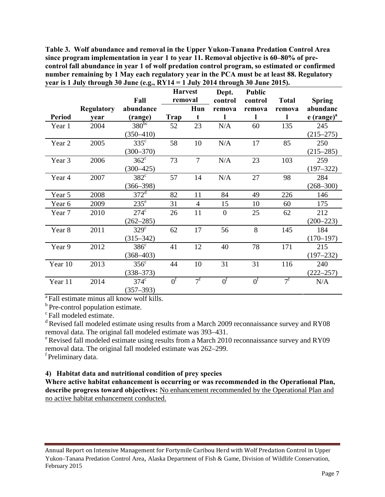**Table 3. Wolf abundance and removal in the Upper Yukon-Tanana Predation Control Area since program implementation in year 1 to year 11. Removal objective is 60–80% of precontrol fall abundance in year 1 of wolf predation control program, so estimated or confirmed number remaining by 1 May each regulatory year in the PCA must be at least 88. Regulatory year is 1 July through 30 June (e.g., RY14 = 1 July 2014 through 30 June 2015).** 

|               |                           | Fall                              | <b>Harvest</b><br>removal |                | Dept.<br>control |                   | <b>Total</b> | <b>Spring</b>                        |
|---------------|---------------------------|-----------------------------------|---------------------------|----------------|------------------|-------------------|--------------|--------------------------------------|
| <b>Period</b> | <b>Regulatory</b><br>vear | abundance<br>(range)              | Trap                      | Hun<br>t       | remova           | control<br>remova | remova       | abundanc<br>$e$ (range) <sup>a</sup> |
| Year 1        | 2004                      | $380^{bc}$<br>$(350 - 410)$       | 52                        | 23             | N/A              | 60                | 135          | 245<br>$(215 - 275)$                 |
| Year 2        | 2005                      | $335^{\circ}$<br>$(300 - 370)$    | 58                        | 10             | N/A              | 17                | 85           | 250<br>$(215 - 285)$                 |
| Year 3        | 2006                      | $362^{\circ}$<br>$(300 - 425)$    | 73                        | $\overline{7}$ | N/A              | 23                | 103          | 259<br>$(197 - 322)$                 |
| Year 4        | 2007                      | $382^{\circ}$<br>$(366 - 398)$    | 57                        | 14             | N/A              | 27                | 98           | 284<br>$(268 - 300)$                 |
| Year 5        | 2008                      | $372^d$                           | 82                        | 11             | 84               | 49                | 226          | 146                                  |
| Year 6        | 2009                      | $235^{\circ}$                     | 31                        | $\overline{4}$ | 15               | 10                | 60           | 175                                  |
| Year 7        | 2010                      | $274^{\circ}$<br>$(262 - 285)$    | 26                        | 11             | $\overline{0}$   | 25                | 62           | 212<br>$(200 - 223)$                 |
| Year 8        | 2011                      | $329^\circ$<br>$(315 - 342)$      | 62                        | 17             | 56               | 8                 | 145          | 184<br>$(170 - 197)$                 |
| Year 9        | 2012                      | $386^{\circ}$<br>$(368 - 403)$    | 41                        | 12             | 40               | 78                | 171          | 215<br>$(197 - 232)$                 |
| Year 10       | 2013                      | 356 <sup>c</sup><br>$(338 - 373)$ | 44                        | 10             | 31               | 31                | 116          | 240<br>$(222 - 257)$                 |
| Year 11       | 2014                      | $374^{\circ}$<br>$(357 - 393)$    | 0 <sup>f</sup>            | $7^{\rm f}$    | 0 <sup>f</sup>   | 0 <sup>f</sup>    | $7^{\rm f}$  | N/A                                  |

<sup>a</sup> Fall estimate minus all know wolf kills.

 $\rm ^b$  Pre-control population estimate.<br><sup>c</sup> Fall modeled estimate.

<sup>d</sup> Revised fall modeled estimate using results from a March 2009 reconnaissance survey and RY08 removal data. The original fall modeled estimate was 393–431.

e Revised fall modeled estimate using results from a March 2010 reconnaissance survey and RY09 removal data. The original fall modeled estimate was 262–299.

<sup>f</sup> Preliminary data.

### **4) Habitat data and nutritional condition of prey species**

**Where active habitat enhancement is occurring or was recommended in the Operational Plan,**  describe progress toward objectives: No enhancement recommended by the Operational Plan and no active habitat enhancement conducted.